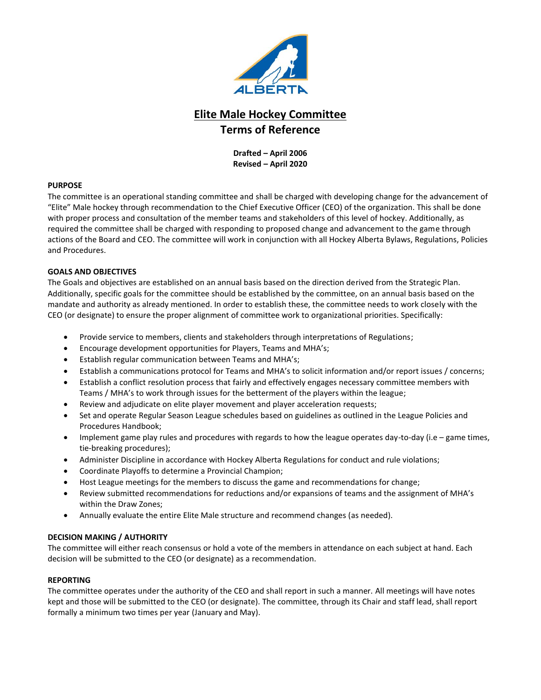

**Drafted – April 2006 Revised – April 2020**

## **PURPOSE**

The committee is an operational standing committee and shall be charged with developing change for the advancement of "Elite" Male hockey through recommendation to the Chief Executive Officer (CEO) of the organization. This shall be done with proper process and consultation of the member teams and stakeholders of this level of hockey. Additionally, as required the committee shall be charged with responding to proposed change and advancement to the game through actions of the Board and CEO. The committee will work in conjunction with all Hockey Alberta Bylaws, Regulations, Policies and Procedures.

## **GOALS AND OBJECTIVES**

The Goals and objectives are established on an annual basis based on the direction derived from the Strategic Plan. Additionally, specific goals for the committee should be established by the committee, on an annual basis based on the mandate and authority as already mentioned. In order to establish these, the committee needs to work closely with the CEO (or designate) to ensure the proper alignment of committee work to organizational priorities. Specifically:

- Provide service to members, clients and stakeholders through interpretations of Regulations;
- Encourage development opportunities for Players, Teams and MHA's;
- Establish regular communication between Teams and MHA's;
- Establish a communications protocol for Teams and MHA's to solicit information and/or report issues / concerns;
- Establish a conflict resolution process that fairly and effectively engages necessary committee members with Teams / MHA's to work through issues for the betterment of the players within the league;
- Review and adjudicate on elite player movement and player acceleration requests;
- Set and operate Regular Season League schedules based on guidelines as outlined in the League Policies and Procedures Handbook;
- Implement game play rules and procedures with regards to how the league operates day-to-day (i.e game times, tie-breaking procedures);
- Administer Discipline in accordance with Hockey Alberta Regulations for conduct and rule violations;
- Coordinate Playoffs to determine a Provincial Champion;
- Host League meetings for the members to discuss the game and recommendations for change;
- Review submitted recommendations for reductions and/or expansions of teams and the assignment of MHA's within the Draw Zones;
- Annually evaluate the entire Elite Male structure and recommend changes (as needed).

## **DECISION MAKING / AUTHORITY**

The committee will either reach consensus or hold a vote of the members in attendance on each subject at hand. Each decision will be submitted to the CEO (or designate) as a recommendation.

#### **REPORTING**

The committee operates under the authority of the CEO and shall report in such a manner. All meetings will have notes kept and those will be submitted to the CEO (or designate). The committee, through its Chair and staff lead, shall report formally a minimum two times per year (January and May).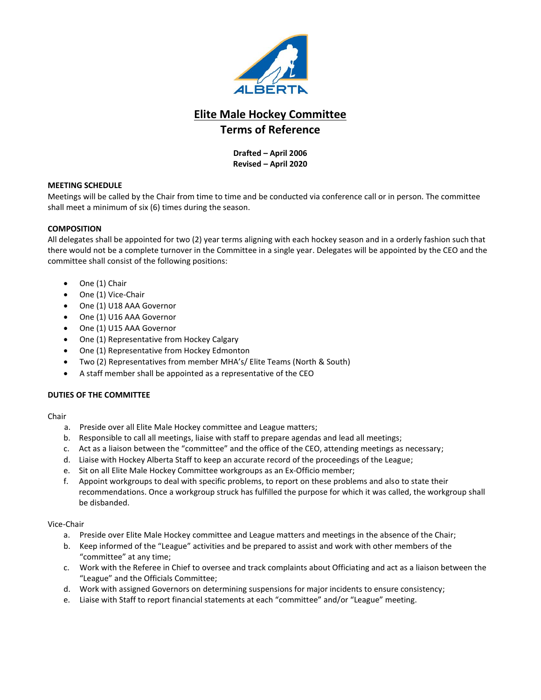

## **Drafted – April 2006 Revised – April 2020**

## **MEETING SCHEDULE**

Meetings will be called by the Chair from time to time and be conducted via conference call or in person. The committee shall meet a minimum of six (6) times during the season.

## **COMPOSITION**

All delegates shall be appointed for two (2) year terms aligning with each hockey season and in a orderly fashion such that there would not be a complete turnover in the Committee in a single year. Delegates will be appointed by the CEO and the committee shall consist of the following positions:

- One (1) Chair
- One (1) Vice-Chair
- One (1) U18 AAA Governor
- One (1) U16 AAA Governor
- One (1) U15 AAA Governor
- One (1) Representative from Hockey Calgary
- One (1) Representative from Hockey Edmonton
- Two (2) Representatives from member MHA's/ Elite Teams (North & South)
- A staff member shall be appointed as a representative of the CEO

## **DUTIES OF THE COMMITTEE**

- Chair
	- a. Preside over all Elite Male Hockey committee and League matters;
	- b. Responsible to call all meetings, liaise with staff to prepare agendas and lead all meetings;
	- c. Act as a liaison between the "committee" and the office of the CEO, attending meetings as necessary;
	- d. Liaise with Hockey Alberta Staff to keep an accurate record of the proceedings of the League;
	- e. Sit on all Elite Male Hockey Committee workgroups as an Ex-Officio member;
	- f. Appoint workgroups to deal with specific problems, to report on these problems and also to state their recommendations. Once a workgroup struck has fulfilled the purpose for which it was called, the workgroup shall be disbanded.

#### Vice-Chair

- a. Preside over Elite Male Hockey committee and League matters and meetings in the absence of the Chair;
- b. Keep informed of the "League" activities and be prepared to assist and work with other members of the "committee" at any time;
- c. Work with the Referee in Chief to oversee and track complaints about Officiating and act as a liaison between the "League" and the Officials Committee;
- d. Work with assigned Governors on determining suspensions for major incidents to ensure consistency;
- e. Liaise with Staff to report financial statements at each "committee" and/or "League" meeting.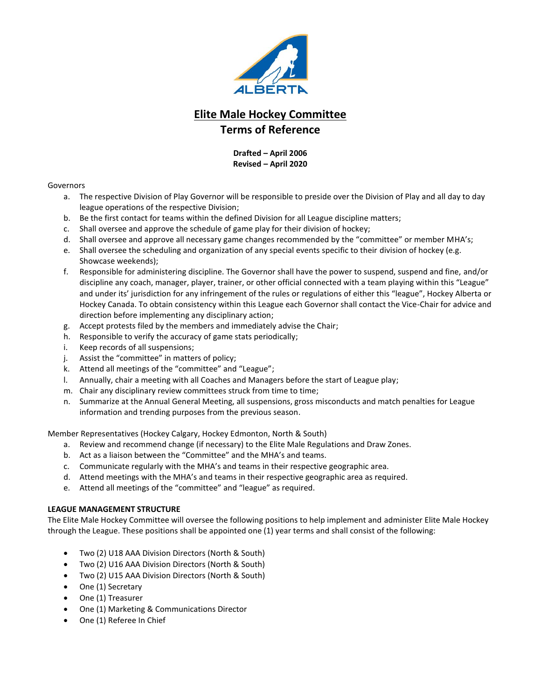

## **Drafted – April 2006 Revised – April 2020**

#### Governors

- a. The respective Division of Play Governor will be responsible to preside over the Division of Play and all day to day league operations of the respective Division;
- b. Be the first contact for teams within the defined Division for all League discipline matters;
- c. Shall oversee and approve the schedule of game play for their division of hockey;
- d. Shall oversee and approve all necessary game changes recommended by the "committee" or member MHA's;
- e. Shall oversee the scheduling and organization of any special events specific to their division of hockey (e.g. Showcase weekends);
- f. Responsible for administering discipline. The Governor shall have the power to suspend, suspend and fine, and/or discipline any coach, manager, player, trainer, or other official connected with a team playing within this "League" and under its' jurisdiction for any infringement of the rules or regulations of either this "league", Hockey Alberta or Hockey Canada. To obtain consistency within this League each Governor shall contact the Vice-Chair for advice and direction before implementing any disciplinary action;
- g. Accept protests filed by the members and immediately advise the Chair;
- h. Responsible to verify the accuracy of game stats periodically;
- i. Keep records of all suspensions;
- j. Assist the "committee" in matters of policy;
- k. Attend all meetings of the "committee" and "League";
- l. Annually, chair a meeting with all Coaches and Managers before the start of League play;
- m. Chair any disciplinary review committees struck from time to time;
- n. Summarize at the Annual General Meeting, all suspensions, gross misconducts and match penalties for League information and trending purposes from the previous season.

Member Representatives (Hockey Calgary, Hockey Edmonton, North & South)

- a. Review and recommend change (if necessary) to the Elite Male Regulations and Draw Zones.
- b. Act as a liaison between the "Committee" and the MHA's and teams.
- c. Communicate regularly with the MHA's and teams in their respective geographic area.
- d. Attend meetings with the MHA's and teams in their respective geographic area as required.
- e. Attend all meetings of the "committee" and "league" as required.

## **LEAGUE MANAGEMENT STRUCTURE**

The Elite Male Hockey Committee will oversee the following positions to help implement and administer Elite Male Hockey through the League. These positions shall be appointed one (1) year terms and shall consist of the following:

- Two (2) U18 AAA Division Directors (North & South)
- Two (2) U16 AAA Division Directors (North & South)
- Two (2) U15 AAA Division Directors (North & South)
- One (1) Secretary
- One (1) Treasurer
- One (1) Marketing & Communications Director
- One (1) Referee In Chief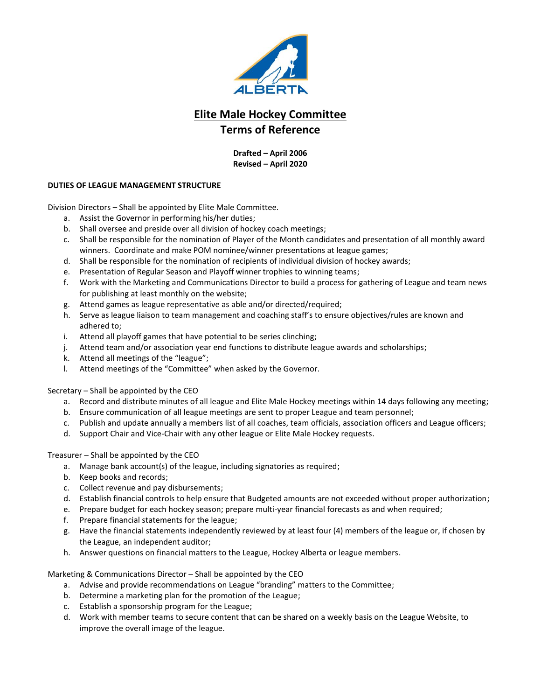

**Drafted – April 2006 Revised – April 2020**

## **DUTIES OF LEAGUE MANAGEMENT STRUCTURE**

Division Directors – Shall be appointed by Elite Male Committee.

- a. Assist the Governor in performing his/her duties;
- b. Shall oversee and preside over all division of hockey coach meetings;
- c. Shall be responsible for the nomination of Player of the Month candidates and presentation of all monthly award winners. Coordinate and make POM nominee/winner presentations at league games;
- d. Shall be responsible for the nomination of recipients of individual division of hockey awards;
- e. Presentation of Regular Season and Playoff winner trophies to winning teams;
- f. Work with the Marketing and Communications Director to build a process for gathering of League and team news for publishing at least monthly on the website;
- g. Attend games as league representative as able and/or directed/required;
- h. Serve as league liaison to team management and coaching staff's to ensure objectives/rules are known and adhered to;
- i. Attend all playoff games that have potential to be series clinching;
- j. Attend team and/or association year end functions to distribute league awards and scholarships;
- k. Attend all meetings of the "league";
- l. Attend meetings of the "Committee" when asked by the Governor.

Secretary – Shall be appointed by the CEO

- a. Record and distribute minutes of all league and Elite Male Hockey meetings within 14 days following any meeting;
- b. Ensure communication of all league meetings are sent to proper League and team personnel;
- c. Publish and update annually a members list of all coaches, team officials, association officers and League officers;
- d. Support Chair and Vice-Chair with any other league or Elite Male Hockey requests.

Treasurer – Shall be appointed by the CEO

- a. Manage bank account(s) of the league, including signatories as required;
- b. Keep books and records;
- c. Collect revenue and pay disbursements;
- d. Establish financial controls to help ensure that Budgeted amounts are not exceeded without proper authorization;
- e. Prepare budget for each hockey season; prepare multi-year financial forecasts as and when required;
- f. Prepare financial statements for the league;
- g. Have the financial statements independently reviewed by at least four (4) members of the league or, if chosen by the League, an independent auditor;
- h. Answer questions on financial matters to the League, Hockey Alberta or league members.

Marketing & Communications Director – Shall be appointed by the CEO

- a. Advise and provide recommendations on League "branding" matters to the Committee;
- b. Determine a marketing plan for the promotion of the League;
- c. Establish a sponsorship program for the League;
- d. Work with member teams to secure content that can be shared on a weekly basis on the League Website, to improve the overall image of the league.